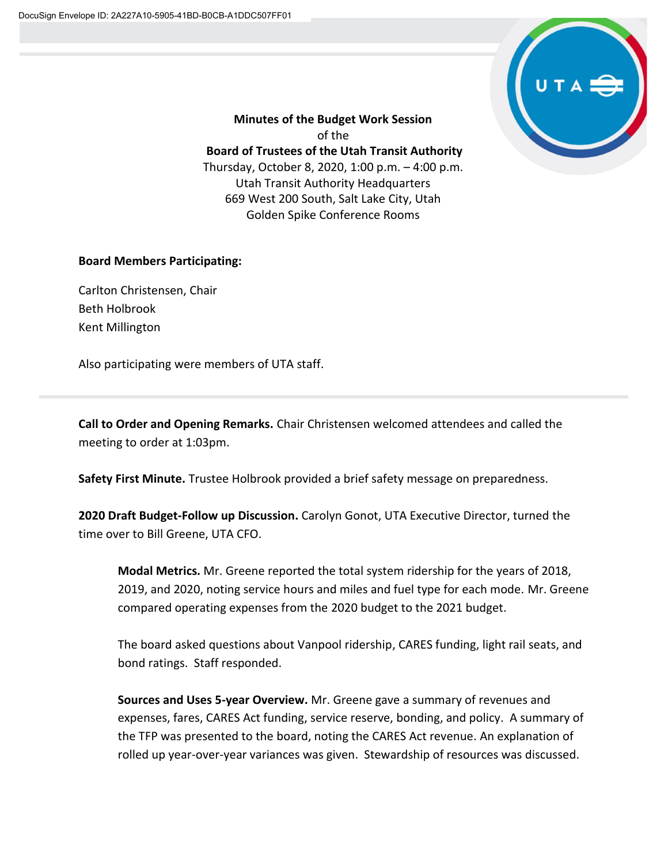

**Minutes of the Budget Work Session** of the **Board of Trustees of the Utah Transit Authority** Thursday, October 8, 2020, 1:00 p.m. – 4:00 p.m. Utah Transit Authority Headquarters 669 West 200 South, Salt Lake City, Utah Golden Spike Conference Rooms

## **Board Members Participating:**

Carlton Christensen, Chair Beth Holbrook Kent Millington

Also participating were members of UTA staff.

**Call to Order and Opening Remarks.** Chair Christensen welcomed attendees and called the meeting to order at 1:03pm.

**Safety First Minute.** Trustee Holbrook provided a brief safety message on preparedness.

**2020 Draft Budget-Follow up Discussion.** Carolyn Gonot, UTA Executive Director, turned the time over to Bill Greene, UTA CFO.

**Modal Metrics.** Mr. Greene reported the total system ridership for the years of 2018, 2019, and 2020, noting service hours and miles and fuel type for each mode. Mr. Greene compared operating expenses from the 2020 budget to the 2021 budget.

The board asked questions about Vanpool ridership, CARES funding, light rail seats, and bond ratings. Staff responded.

**Sources and Uses 5-year Overview.** Mr. Greene gave a summary of revenues and expenses, fares, CARES Act funding, service reserve, bonding, and policy. A summary of the TFP was presented to the board, noting the CARES Act revenue. An explanation of rolled up year-over-year variances was given. Stewardship of resources was discussed.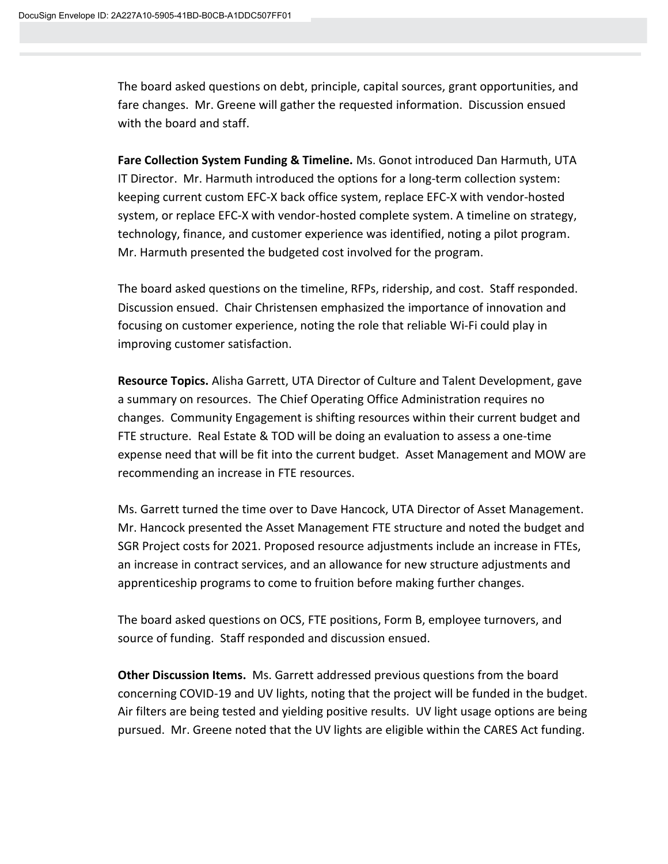The board asked questions on debt, principle, capital sources, grant opportunities, and fare changes. Mr. Greene will gather the requested information. Discussion ensued with the board and staff.

**Fare Collection System Funding & Timeline.** Ms. Gonot introduced Dan Harmuth, UTA IT Director. Mr. Harmuth introduced the options for a long-term collection system: keeping current custom EFC-X back office system, replace EFC-X with vendor-hosted system, or replace EFC-X with vendor-hosted complete system. A timeline on strategy, technology, finance, and customer experience was identified, noting a pilot program. Mr. Harmuth presented the budgeted cost involved for the program.

The board asked questions on the timeline, RFPs, ridership, and cost. Staff responded. Discussion ensued. Chair Christensen emphasized the importance of innovation and focusing on customer experience, noting the role that reliable Wi-Fi could play in improving customer satisfaction.

**Resource Topics.** Alisha Garrett, UTA Director of Culture and Talent Development, gave a summary on resources. The Chief Operating Office Administration requires no changes. Community Engagement is shifting resources within their current budget and FTE structure. Real Estate & TOD will be doing an evaluation to assess a one-time expense need that will be fit into the current budget. Asset Management and MOW are recommending an increase in FTE resources.

Ms. Garrett turned the time over to Dave Hancock, UTA Director of Asset Management. Mr. Hancock presented the Asset Management FTE structure and noted the budget and SGR Project costs for 2021. Proposed resource adjustments include an increase in FTEs, an increase in contract services, and an allowance for new structure adjustments and apprenticeship programs to come to fruition before making further changes.

The board asked questions on OCS, FTE positions, Form B, employee turnovers, and source of funding. Staff responded and discussion ensued.

**Other Discussion Items.** Ms. Garrett addressed previous questions from the board concerning COVID-19 and UV lights, noting that the project will be funded in the budget. Air filters are being tested and yielding positive results. UV light usage options are being pursued. Mr. Greene noted that the UV lights are eligible within the CARES Act funding.